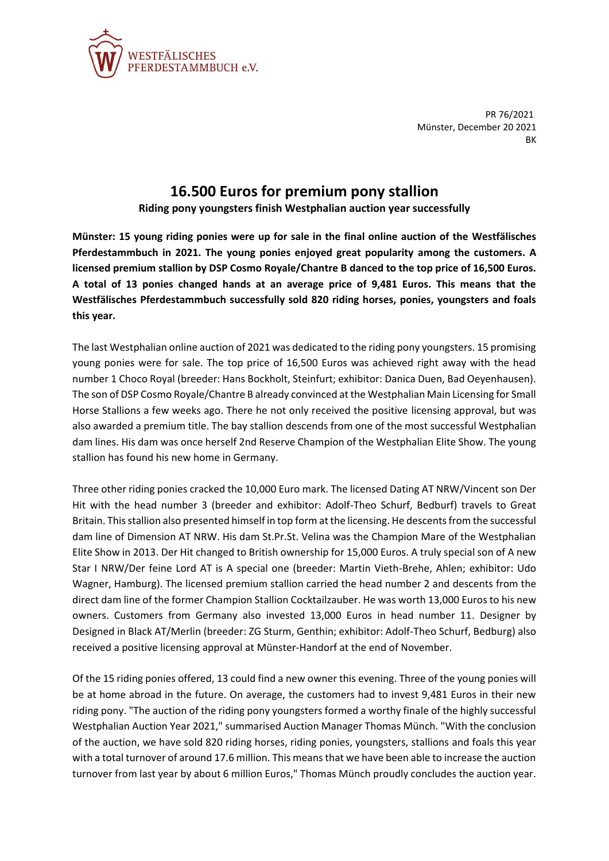

PR 76/2021 Münster, December 20 2021 BK

## **16.500 Euros for premium pony stallion**

**Riding pony youngsters finish Westphalian auction year successfully**

**Münster: 15 young riding ponies were up for sale in the final online auction of the Westfälisches Pferdestammbuch in 2021. The young ponies enjoyed great popularity among the customers. A licensed premium stallion by DSP Cosmo Royale/Chantre B danced to the top price of 16,500 Euros. A total of 13 ponies changed hands at an average price of 9,481 Euros. This means that the Westfälisches Pferdestammbuch successfully sold 820 riding horses, ponies, youngsters and foals this year.**

The last Westphalian online auction of 2021 was dedicated to the riding pony youngsters. 15 promising young ponies were for sale. The top price of 16,500 Euros was achieved right away with the head number 1 Choco Royal (breeder: Hans Bockholt, Steinfurt; exhibitor: Danica Duen, Bad Oeyenhausen). The son of DSP Cosmo Royale/Chantre B already convinced at the Westphalian Main Licensing for Small Horse Stallions a few weeks ago. There he not only received the positive licensing approval, but was also awarded a premium title. The bay stallion descends from one of the most successful Westphalian dam lines. His dam was once herself 2nd Reserve Champion of the Westphalian Elite Show. The young stallion has found his new home in Germany.

Three other riding ponies cracked the 10,000 Euro mark. The licensed Dating AT NRW/Vincent son Der Hit with the head number 3 (breeder and exhibitor: Adolf-Theo Schurf, Bedburf) travels to Great Britain. This stallion also presented himself in top form at the licensing. He descentsfrom the successful dam line of Dimension AT NRW. His dam St.Pr.St. Velina was the Champion Mare of the Westphalian Elite Show in 2013. Der Hit changed to British ownership for 15,000 Euros. A truly special son of A new Star I NRW/Der feine Lord AT is A special one (breeder: Martin Vieth-Brehe, Ahlen; exhibitor: Udo Wagner, Hamburg). The licensed premium stallion carried the head number 2 and descents from the direct dam line of the former Champion Stallion Cocktailzauber. He was worth 13,000 Euros to his new owners. Customers from Germany also invested 13,000 Euros in head number 11. Designer by Designed in Black AT/Merlin (breeder: ZG Sturm, Genthin; exhibitor: Adolf-Theo Schurf, Bedburg) also received a positive licensing approval at Münster-Handorf at the end of November.

Of the 15 riding ponies offered, 13 could find a new owner this evening. Three of the young ponies will be at home abroad in the future. On average, the customers had to invest 9,481 Euros in their new riding pony. "The auction of the riding pony youngsters formed a worthy finale of the highly successful Westphalian Auction Year 2021," summarised Auction Manager Thomas Münch. "With the conclusion of the auction, we have sold 820 riding horses, riding ponies, youngsters, stallions and foals this year with a total turnover of around 17.6 million. This means that we have been able to increase the auction turnover from last year by about 6 million Euros," Thomas Münch proudly concludes the auction year.